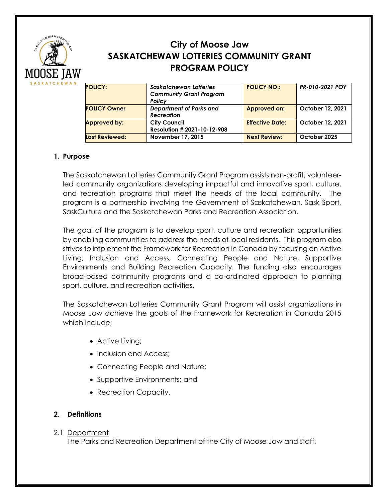

# **City of Moose Jaw SASKATCHEWAW LOTTERIES COMMUNITY GRANT PROGRAM POLICY**

| <b>POLICY:</b>      | Saskatchewan Lotteries         | <b>POLICY NO.:</b>     | PR-010-2021 POY  |
|---------------------|--------------------------------|------------------------|------------------|
|                     | <b>Community Grant Program</b> |                        |                  |
|                     | Policy                         |                        |                  |
| <b>POLICY Owner</b> | <b>Department of Parks and</b> | <b>Approved on:</b>    | October 12, 2021 |
|                     | <b>Recreation</b>              |                        |                  |
| <b>Approved by:</b> | <b>City Council</b>            | <b>Effective Date:</b> | October 12, 2021 |
|                     | Resolution # 2021-10-12-908    |                        |                  |
| Last Reviewed:      | November 17, 2015              | <b>Next Review:</b>    | October 2025     |
|                     |                                |                        |                  |

# **1. Purpose**

The Saskatchewan Lotteries Community Grant Program assists non-profit, volunteerled community organizations developing impactful and innovative sport, culture, and recreation programs that meet the needs of the local community. The program is a partnership involving the Government of Saskatchewan, Sask Sport, SaskCulture and the Saskatchewan Parks and Recreation Association.

The goal of the program is to develop sport, culture and recreation opportunities by enabling communities to address the needs of local residents. This program also strives to implement the Framework for Recreation in Canada by focusing on Active Living, Inclusion and Access, Connecting People and Nature, Supportive Environments and Building Recreation Capacity. The funding also encourages broad-based community programs and a co-ordinated approach to planning sport, culture, and recreation activities.

The Saskatchewan Lotteries Community Grant Program will assist organizations in Moose Jaw achieve the goals of the Framework for Recreation in Canada 2015 which include;

- Active Living;
- Inclusion and Access;
- Connecting People and Nature;
- Supportive Environments; and
- Recreation Capacity.

# **2. Definitions**

# 2.1 Department

The Parks and Recreation Department of the City of Moose Jaw and staff.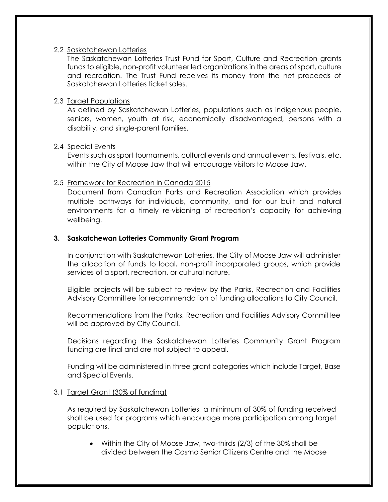### 2.2 Saskatchewan Lotteries

The Saskatchewan Lotteries Trust Fund for Sport, Culture and Recreation grants funds to eligible, non-profit volunteer led organizations in the areas of sport, culture and recreation. The Trust Fund receives its money from the net proceeds of Saskatchewan Lotteries ticket sales.

### 2.3 Target Populations

As defined by Saskatchewan Lotteries, populations such as indigenous people, seniors, women, youth at risk, economically disadvantaged, persons with a disability, and single-parent families.

### 2.4 Special Events

Events such as sport tournaments, cultural events and annual events, festivals, etc. within the City of Moose Jaw that will encourage visitors to Moose Jaw.

### 2.5 Framework for Recreation in Canada 2015

Document from Canadian Parks and Recreation Association which provides multiple pathways for individuals, community, and for our built and natural environments for a timely re-visioning of recreation's capacity for achieving wellbeing.

### **3. Saskatchewan Lotteries Community Grant Program**

In conjunction with Saskatchewan Lotteries, the City of Moose Jaw will administer the allocation of funds to local, non-profit incorporated groups, which provide services of a sport, recreation, or cultural nature.

Eligible projects will be subject to review by the Parks, Recreation and Facilities Advisory Committee for recommendation of funding allocations to City Council.

Recommendations from the Parks, Recreation and Facilities Advisory Committee will be approved by City Council.

Decisions regarding the Saskatchewan Lotteries Community Grant Program funding are final and are not subject to appeal.

Funding will be administered in three grant categories which include Target, Base and Special Events.

### 3.1 Target Grant (30% of funding)

As required by Saskatchewan Lotteries, a minimum of 30% of funding received shall be used for programs which encourage more participation among target populations.

• Within the City of Moose Jaw, two-thirds (2/3) of the 30% shall be divided between the Cosmo Senior Citizens Centre and the Moose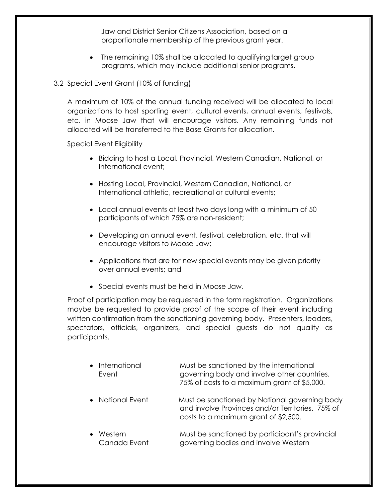Jaw and District Senior Citizens Association, based on a proportionate membership of the previous grant year.

• The remaining 10% shall be allocated to qualifying target group programs, which may include additional senior programs.

### 3.2 Special Event Grant (10% of funding)

A maximum of 10% of the annual funding received will be allocated to local organizations to host sporting event, cultural events, annual events, festivals, etc. in Moose Jaw that will encourage visitors. Any remaining funds not allocated will be transferred to the Base Grants for allocation.

### Special Event Eligibility

- Bidding to host a Local, Provincial, Western Canadian, National, or International event;
- Hosting Local, Provincial, Western Canadian, National, or International athletic, recreational or cultural events;
- Local annual events at least two days long with a minimum of 50 participants of which 75% are non-resident;
- Developing an annual event, festival, celebration, etc. that will encourage visitors to Moose Jaw;
- Applications that are for new special events may be given priority over annual events; and
- Special events must be held in Moose Jaw.

Proof of participation may be requested in the form registration. Organizations maybe be requested to provide proof of the scope of their event including written confirmation from the sanctioning governing body. Presenters, leaders, spectators, officials, organizers, and special guests do not qualify as participants.

| • International<br>Event | Must be sanctioned by the international<br>governing body and involve other countries.<br>75% of costs to a maximum grant of \$5,000.     |
|--------------------------|-------------------------------------------------------------------------------------------------------------------------------------------|
| • National Event         | Must be sanctioned by National governing body<br>and involve Provinces and/or Territories. 75% of<br>costs to a maximum grant of \$2,500. |
| Western<br>Canada Event  | Must be sanctioned by participant's provincial<br>governing bodies and involve Western                                                    |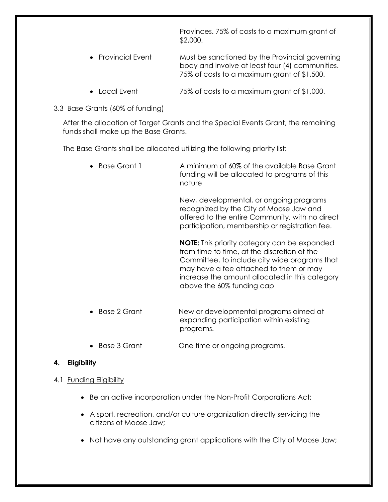Provinces. 75% of costs to a maximum grant of \$2,000.

- Provincial Event Must be sanctioned by the Provincial governing body and involve at least four (4) communities. 75% of costs to a maximum grant of \$1,500.
- Local Event 75% of costs to a maximum grant of \$1,000.

# 3.3 Base Grants (60% of funding)

After the allocation of Target Grants and the Special Events Grant, the remaining funds shall make up the Base Grants.

The Base Grants shall be allocated utilizing the following priority list:

| Base Grant 1 | A minimum of 60% of the available Base Grant<br>funding will be allocated to programs of this<br>nature                                                                                                                                                                      |
|--------------|------------------------------------------------------------------------------------------------------------------------------------------------------------------------------------------------------------------------------------------------------------------------------|
|              | New, developmental, or ongoing programs<br>recognized by the City of Moose Jaw and<br>offered to the entire Community, with no direct<br>participation, membership or registration fee.                                                                                      |
|              | <b>NOTE:</b> This priority category can be expanded<br>from time to time, at the discretion of the<br>Committee, to include city wide programs that<br>may have a fee attached to them or may<br>increase the amount allocated in this category<br>above the 60% funding cap |
| Base 2 Grant | New or developmental programs aimed at<br>expanding participation within existing                                                                                                                                                                                            |

• Base 3 Grant One time or ongoing programs.

programs.

# **4. Eligibility**

# 4.1 Funding Eligibility

- Be an active incorporation under the Non-Profit Corporations Act;
- A sport, recreation, and/or culture organization directly servicing the citizens of Moose Jaw;
- Not have any outstanding grant applications with the City of Moose Jaw;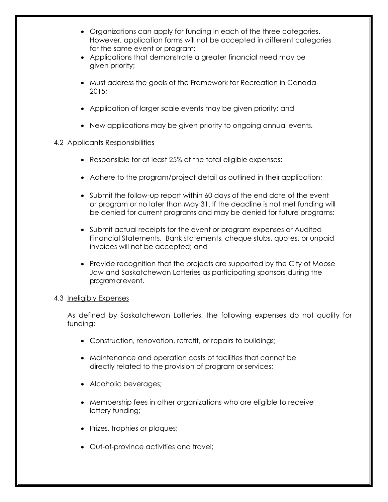- Organizations can apply for funding in each of the three categories. However, application forms will not be accepted in different categories for the same event or program;
- Applications that demonstrate a greater financial need may be given priority;
- Must address the goals of the Framework for Recreation in Canada 2015;
- Application of larger scale events may be given priority; and
- New applications may be given priority to ongoing annual events.

# 4.2 Applicants Responsibilities

- Responsible for at least 25% of the total eligible expenses;
- Adhere to the program/project detail as outlined in their application;
- Submit the follow-up report within 60 days of the end date of the event or program or no later than May 31. If the deadline is not met funding will be denied for current programs and may be denied for future programs:
- Submit actual receipts for the event or program expenses or Audited Financial Statements. Bank statements, cheque stubs, quotes, or unpaid invoices will not be accepted; and
- Provide recognition that the projects are supported by the City of Moose Jaw and Saskatchewan Lotteries as participating sponsors during the program or event.

### 4.3 Ineligibly Expenses

As defined by Saskatchewan Lotteries, the following expenses do not quality for funding:

- Construction, renovation, retrofit, or repairs to buildings;
- Maintenance and operation costs of facilities that cannot be directly related to the provision of program or services;
- Alcoholic beverages;
- Membership fees in other organizations who are eligible to receive lottery funding;
- Prizes, trophies or plaques;
- Out-of-province activities and travel;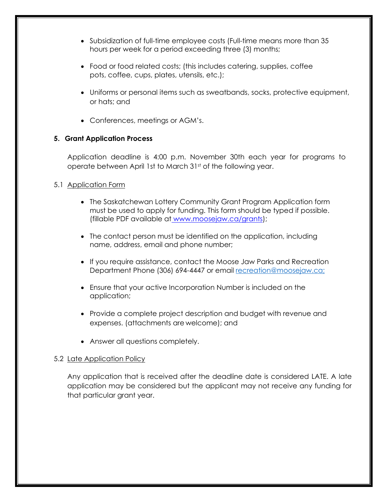- Subsidization of full-time employee costs (Full-time means more than 35 hours per week for a period exceeding three (3) months;
- Food or food related costs; (this includes catering, supplies, coffee pots, coffee, cups, plates, utensils, etc.);
- Uniforms or personal items such as sweatbands, socks, protective equipment, or hats; and
- Conferences, meetings or AGM's.

# **5. Grant Application Process**

Application deadline is 4:00 p.m. November 30th each year for programs to operate between April 1st to March 31<sup>st</sup> of the following year.

# 5.1 Application Form

- The Saskatchewan Lottery Community Grant Program Application form must be used to apply for funding. This form should be typed if possible. (fillable PDF available at [www.moosejaw.ca/](http://www.moosejaw.ca/)grants);
- The contact person must be identified on the application, including name, address, email and phone number;
- If you require assistance, contact the Moose Jaw Parks and Recreation Department Phone (306) 694-4447 or email [recreation@moosejaw.ca;](mailto:recreation@moosejaw.ca;)
- Ensure that your active Incorporation Number is included on the application;
- Provide a complete project description and budget with revenue and expenses. (attachments are welcome); and
- Answer all questions completely.

# 5.2 Late Application Policy

Any application that is received after the deadline date is considered LATE. A late application may be considered but the applicant may not receive any funding for that particular grant year.